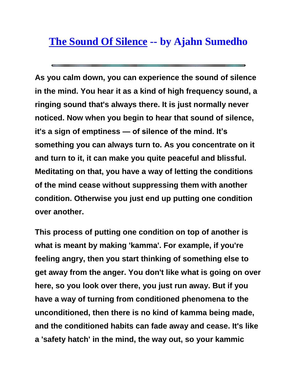## **[The Sound Of Silence](http://www.4ui.com/eart/188eart1.htm) -- by Ajahn Sumedho**

**As you calm down, you can experience the sound of silence in the mind. You hear it as a kind of high frequency sound, a ringing sound that's always there. It is just normally never noticed. Now when you begin to hear that sound of silence, it's a sign of emptiness — of silence of the mind. It's something you can always turn to. As you concentrate on it and turn to it, it can make you quite peaceful and blissful. Meditating on that, you have a way of letting the conditions of the mind cease without suppressing them with another condition. Otherwise you just end up putting one condition over another.**

**This process of putting one condition on top of another is what is meant by making 'kamma'. For example, if you're feeling angry, then you start thinking of something else to get away from the anger. You don't like what is going on over here, so you look over there, you just run away. But if you have a way of turning from conditioned phenomena to the unconditioned, then there is no kind of kamma being made, and the conditioned habits can fade away and cease. It's like a 'safety hatch' in the mind, the way out, so your kammic**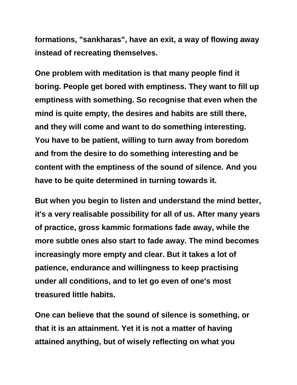**formations, "sankharas", have an exit, a way of flowing away instead of recreating themselves.**

**One problem with meditation is that many people find it boring. People get bored with emptiness. They want to fill up emptiness with something. So recognise that even when the mind is quite empty, the desires and habits are still there, and they will come and want to do something interesting. You have to be patient, willing to turn away from boredom and from the desire to do something interesting and be content with the emptiness of the sound of silence. And you have to be quite determined in turning towards it.**

**But when you begin to listen and understand the mind better, it's a very realisable possibility for all of us. After many years of practice, gross kammic formations fade away, while the more subtle ones also start to fade away. The mind becomes increasingly more empty and clear. But it takes a lot of patience, endurance and willingness to keep practising under all conditions, and to let go even of one's most treasured little habits.**

**One can believe that the sound of silence is something, or that it is an attainment. Yet it is not a matter of having attained anything, but of wisely reflecting on what you**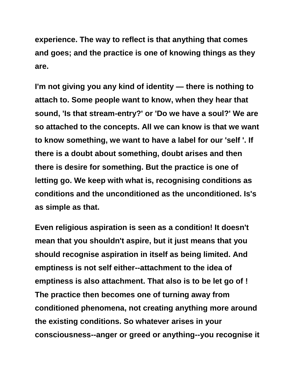**experience. The way to reflect is that anything that comes and goes; and the practice is one of knowing things as they are.**

**I'm not giving you any kind of identity — there is nothing to attach to. Some people want to know, when they hear that sound, 'Is that stream-entry?' or 'Do we have a soul?' We are so attached to the concepts. All we can know is that we want to know something, we want to have a label for our 'self '. If there is a doubt about something, doubt arises and then there is desire for something. But the practice is one of letting go. We keep with what is, recognising conditions as conditions and the unconditioned as the unconditioned. Is's as simple as that.**

**Even religious aspiration is seen as a condition! It doesn't mean that you shouldn't aspire, but it just means that you should recognise aspiration in itself as being limited. And emptiness is not self either--attachment to the idea of emptiness is also attachment. That also is to be let go of ! The practice then becomes one of turning away from conditioned phenomena, not creating anything more around the existing conditions. So whatever arises in your consciousness--anger or greed or anything--you recognise it**